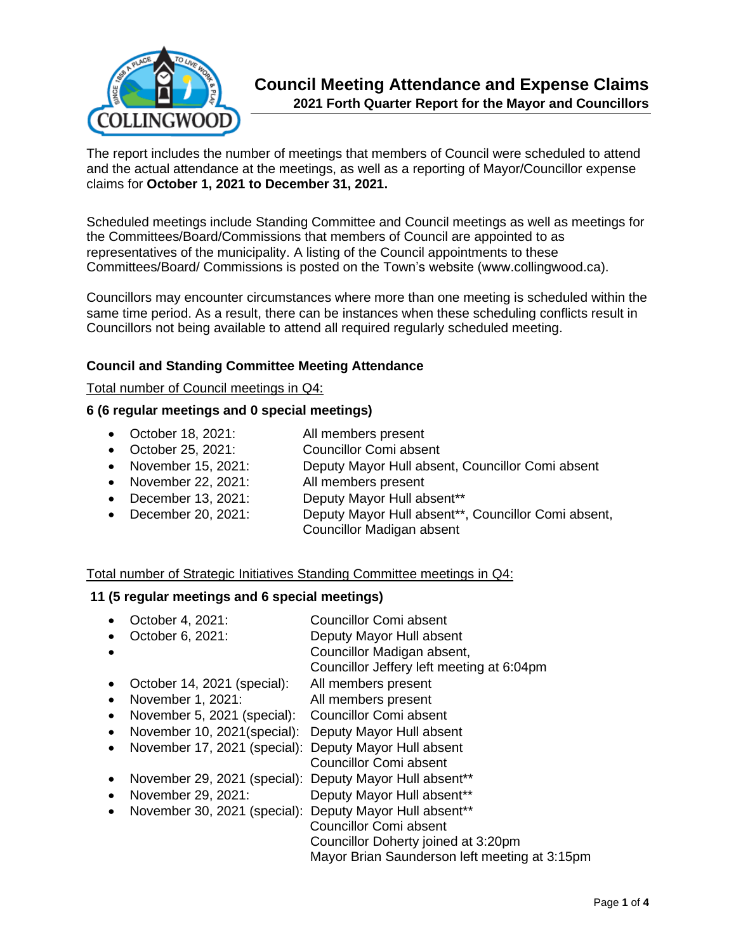

The report includes the number of meetings that members of Council were scheduled to attend and the actual attendance at the meetings, as well as a reporting of Mayor/Councillor expense claims for **October 1, 2021 to December 31, 2021.** 

Scheduled meetings include Standing Committee and Council meetings as well as meetings for the Committees/Board/Commissions that members of Council are appointed to as representatives of the municipality. A listing of the Council appointments to these Committees/Board/ Commissions is posted on the Town's website (www.collingwood.ca).

Councillors may encounter circumstances where more than one meeting is scheduled within the same time period. As a result, there can be instances when these scheduling conflicts result in Councillors not being available to attend all required regularly scheduled meeting.

### **Council and Standing Committee Meeting Attendance**

#### Total number of Council meetings in Q4:

#### **6 (6 regular meetings and 0 special meetings)**

- October 18, 2021: All members present
- October 25, 2021: Councillor Comi absent
- November 15, 2021: Deputy Mayor Hull absent, Councillor Comi absent
- November 22, 2021: All members present
- December 13, 2021: Deputy Mayor Hull absent\*\*
- December 20, 2021: Deputy Mayor Hull absent\*\*, Councillor Comi absent, Councillor Madigan absent

#### Total number of Strategic Initiatives Standing Committee meetings in Q4:

#### **11 (5 regular meetings and 6 special meetings)**

- October 4, 2021: Councillor Comi absent
- October 6, 2021: Deputy Mayor Hull absent
	- Councillor Madigan absent,
		- Councillor Jeffery left meeting at 6:04pm
- October 14, 2021 (special): All members present
- November 1, 2021: All members present
- November 5, 2021 (special): Councillor Comi absent
- November 10, 2021(special): Deputy Mayor Hull absent
- November 17, 2021 (special): Deputy Mayor Hull absent
	- Councillor Comi absent
- November 29, 2021 (special): Deputy Mayor Hull absent\*\*
- November 29, 2021: Deputy Mayor Hull absent\*\*
- November 30, 2021 (special): Deputy Mayor Hull absent\*\* **Councillor Comi absent**  Councillor Doherty joined at 3:20pm Mayor Brian Saunderson left meeting at 3:15pm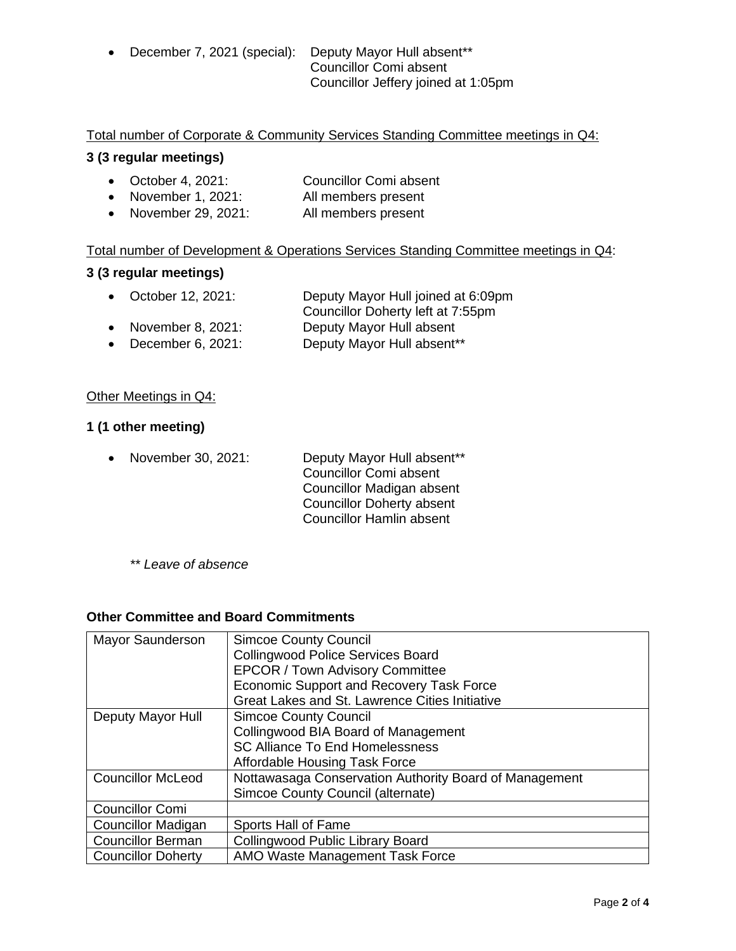• December 7, 2021 (special): Deputy Mayor Hull absent\*\* **Councillor Comi absent** Councillor Jeffery joined at 1:05pm

### Total number of Corporate & Community Services Standing Committee meetings in Q4:

### **3 (3 regular meetings)**

- October 4, 2021: Councillor Comi absent
- November 1, 2021: All members present
- November 29, 2021: All members present

### Total number of Development & Operations Services Standing Committee meetings in Q4:

### **3 (3 regular meetings)**

- October 12, 2021: Deputy Mayor Hull joined at 6:09pm Councillor Doherty left at 7:55pm
- November 8, 2021: Deputy Mayor Hull absent • December 6, 2021: Deputy Mayor Hull absent\*\*
- 

### Other Meetings in Q4:

## **1 (1 other meeting)**

• November 30, 2021: Deputy Mayor Hull absent\*\* Councillor Comi absent Councillor Madigan absent Councillor Doherty absent Councillor Hamlin absent

*\*\* Leave of absence* 

### **Other Committee and Board Commitments**

| Mayor Saunderson          | <b>Simcoe County Council</b><br><b>Collingwood Police Services Board</b><br><b>EPCOR / Town Advisory Committee</b><br>Economic Support and Recovery Task Force<br>Great Lakes and St. Lawrence Cities Initiative |
|---------------------------|------------------------------------------------------------------------------------------------------------------------------------------------------------------------------------------------------------------|
| Deputy Mayor Hull         | <b>Simcoe County Council</b><br>Collingwood BIA Board of Management<br><b>SC Alliance To End Homelessness</b><br>Affordable Housing Task Force                                                                   |
| <b>Councillor McLeod</b>  | Nottawasaga Conservation Authority Board of Management<br>Simcoe County Council (alternate)                                                                                                                      |
| <b>Councillor Comi</b>    |                                                                                                                                                                                                                  |
| <b>Councillor Madigan</b> | Sports Hall of Fame                                                                                                                                                                                              |
| <b>Councillor Berman</b>  | Collingwood Public Library Board                                                                                                                                                                                 |
| <b>Councillor Doherty</b> | AMO Waste Management Task Force                                                                                                                                                                                  |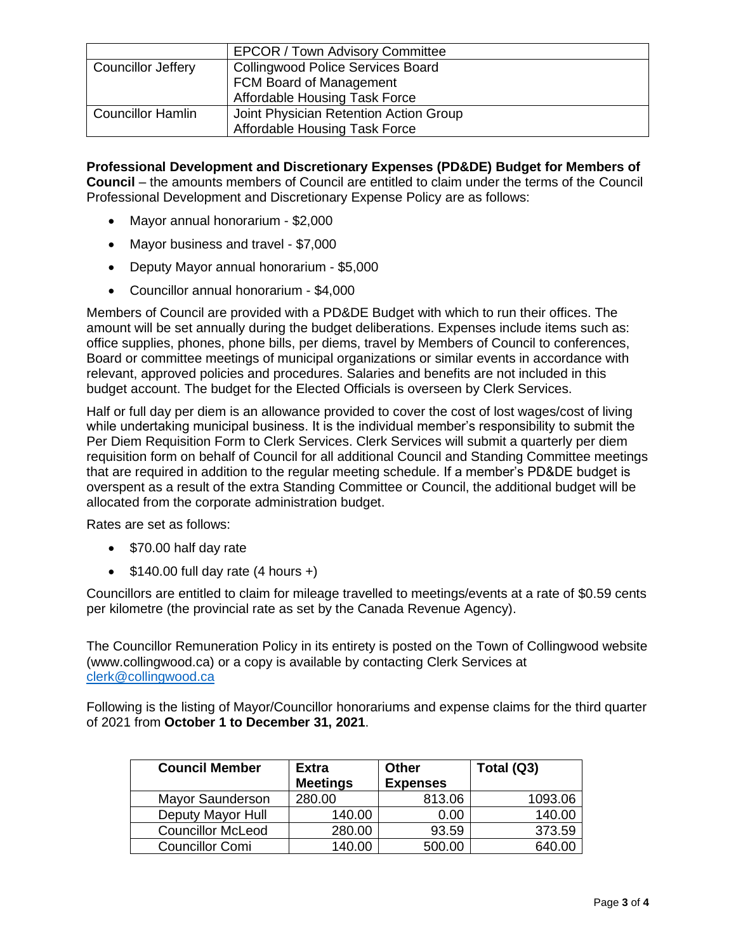|                          | <b>EPCOR / Town Advisory Committee</b> |
|--------------------------|----------------------------------------|
| Councillor Jeffery       | Collingwood Police Services Board      |
|                          | FCM Board of Management                |
|                          | Affordable Housing Task Force          |
| <b>Councillor Hamlin</b> | Joint Physician Retention Action Group |
|                          | Affordable Housing Task Force          |

**Professional Development and Discretionary Expenses (PD&DE) Budget for Members of Council** – the amounts members of Council are entitled to claim under the terms of the Council Professional Development and Discretionary Expense Policy are as follows:

- Mayor annual honorarium \$2,000
- Mayor business and travel \$7,000
- Deputy Mayor annual honorarium \$5,000
- Councillor annual honorarium \$4,000

Members of Council are provided with a PD&DE Budget with which to run their offices. The amount will be set annually during the budget deliberations. Expenses include items such as: office supplies, phones, phone bills, per diems, travel by Members of Council to conferences, Board or committee meetings of municipal organizations or similar events in accordance with relevant, approved policies and procedures. Salaries and benefits are not included in this budget account. The budget for the Elected Officials is overseen by Clerk Services.

Half or full day per diem is an allowance provided to cover the cost of lost wages/cost of living while undertaking municipal business. It is the individual member's responsibility to submit the Per Diem Requisition Form to Clerk Services. Clerk Services will submit a quarterly per diem requisition form on behalf of Council for all additional Council and Standing Committee meetings that are required in addition to the regular meeting schedule. If a member's PD&DE budget is overspent as a result of the extra Standing Committee or Council, the additional budget will be allocated from the corporate administration budget.

Rates are set as follows:

- \$70.00 half day rate
- $$140.00$  full day rate (4 hours +)

Councillors are entitled to claim for mileage travelled to meetings/events at a rate of \$0.59 cents per kilometre (the provincial rate as set by the Canada Revenue Agency).

The Councillor Remuneration Policy in its entirety is posted on the Town of Collingwood website (www.collingwood.ca) or a copy is available by contacting Clerk Services at [clerk@collingwood.ca](mailto:clerk@collingwood.ca)

Following is the listing of Mayor/Councillor honorariums and expense claims for the third quarter of 2021 from **October 1 to December 31, 2021**.

| <b>Council Member</b>    | <b>Extra</b><br><b>Meetings</b> | Other<br><b>Expenses</b> | Total (Q3) |
|--------------------------|---------------------------------|--------------------------|------------|
| Mayor Saunderson         | 280.00                          | 813.06                   | 1093.06    |
| Deputy Mayor Hull        | 140.00                          | 0.00                     | 140.00     |
| <b>Councillor McLeod</b> | 280.00                          | 93.59                    | 373.59     |
| <b>Councillor Comi</b>   | 140.00                          | 500.00                   | 640.00     |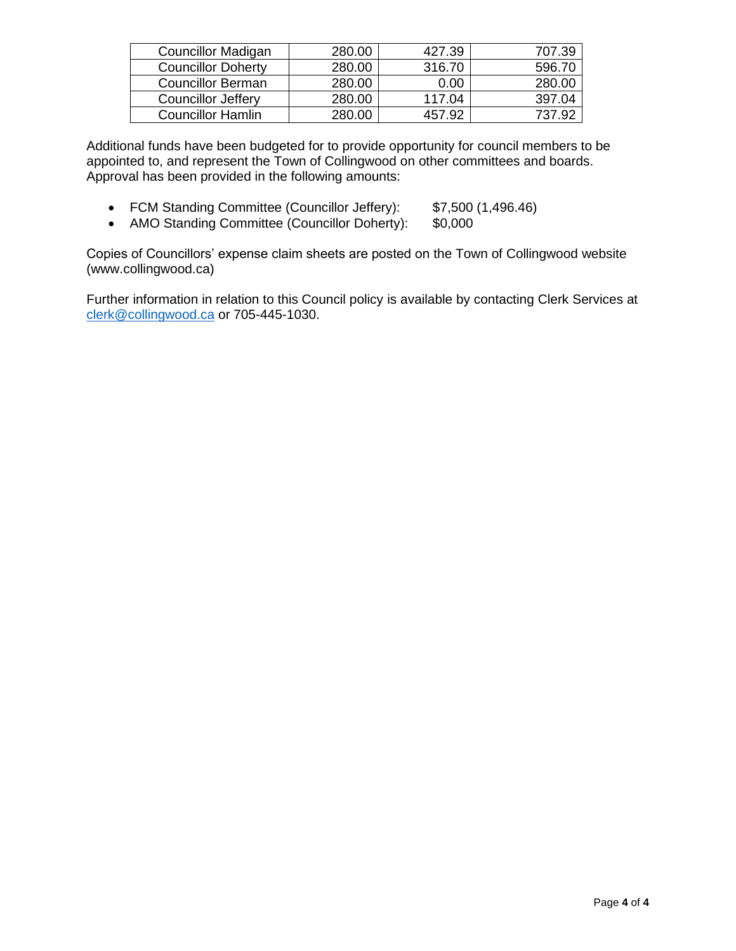| <b>Councillor Madigan</b> | 280.00 | 427.39 | 707.39 |
|---------------------------|--------|--------|--------|
| <b>Councillor Doherty</b> | 280.00 | 316.70 | 596.70 |
| <b>Councillor Berman</b>  | 280.00 | 0.00   | 280.00 |
| <b>Councillor Jeffery</b> | 280.00 | 117.04 | 397.04 |
| <b>Councillor Hamlin</b>  | 280.00 | 457.92 |        |

Additional funds have been budgeted for to provide opportunity for council members to be appointed to, and represent the Town of Collingwood on other committees and boards. Approval has been provided in the following amounts:

- FCM Standing Committee (Councillor Jeffery): \$7,500 (1,496.46)
- AMO Standing Committee (Councillor Doherty): \$0,000

Copies of Councillors' expense claim sheets are posted on the Town of Collingwood website (www.collingwood.ca)

Further information in relation to this Council policy is available by contacting Clerk Services at [clerk@collingwood.ca](mailto:clerk@collingwood.ca) or 705-445-1030.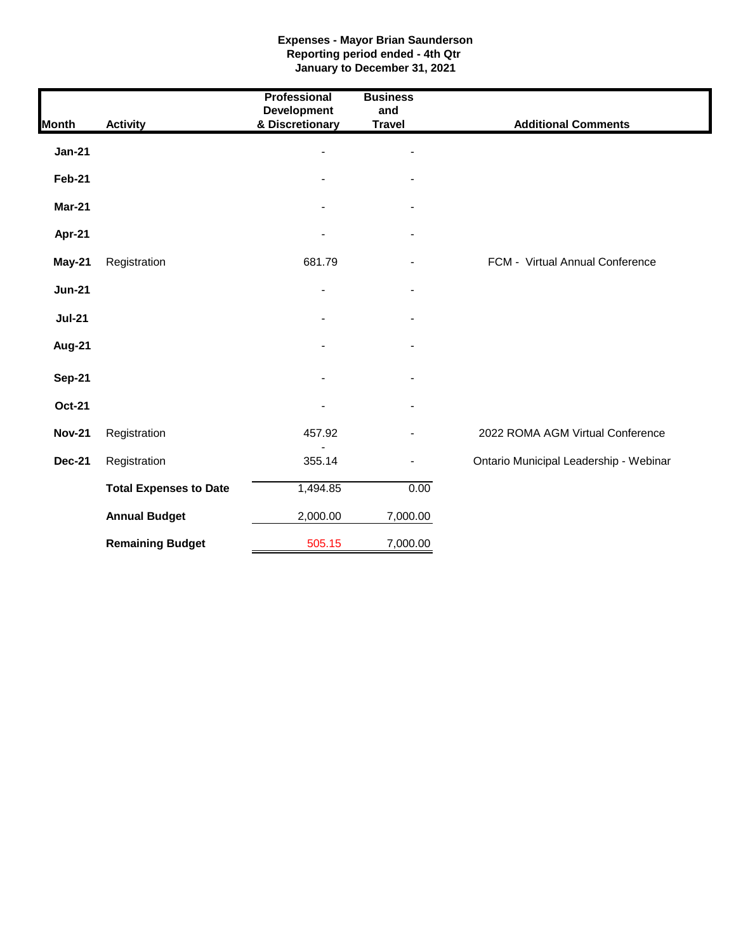#### **Expenses - Mayor Brian Saunderson Reporting period ended - 4th Qtr January to December 31, 2021**

| <b>Month</b>  | <b>Activity</b>               | <b>Professional</b><br><b>Development</b><br>& Discretionary | <b>Business</b><br>and<br><b>Travel</b> | <b>Additional Comments</b>             |
|---------------|-------------------------------|--------------------------------------------------------------|-----------------------------------------|----------------------------------------|
| <b>Jan-21</b> |                               |                                                              |                                         |                                        |
| Feb-21        |                               |                                                              |                                         |                                        |
| <b>Mar-21</b> |                               |                                                              |                                         |                                        |
| Apr-21        |                               |                                                              | $\blacksquare$                          |                                        |
| May-21        | Registration                  | 681.79                                                       |                                         | FCM - Virtual Annual Conference        |
| <b>Jun-21</b> |                               | $\blacksquare$                                               |                                         |                                        |
| <b>Jul-21</b> |                               |                                                              |                                         |                                        |
| Aug-21        |                               |                                                              |                                         |                                        |
| <b>Sep-21</b> |                               |                                                              |                                         |                                        |
| <b>Oct-21</b> |                               |                                                              |                                         |                                        |
| <b>Nov-21</b> | Registration                  | 457.92                                                       |                                         | 2022 ROMA AGM Virtual Conference       |
| <b>Dec-21</b> | Registration                  | 355.14                                                       | $\blacksquare$                          | Ontario Municipal Leadership - Webinar |
|               | <b>Total Expenses to Date</b> | 1,494.85                                                     | 0.00                                    |                                        |
|               | <b>Annual Budget</b>          | 2,000.00                                                     | 7,000.00                                |                                        |
|               | <b>Remaining Budget</b>       | 505.15                                                       | 7,000.00                                |                                        |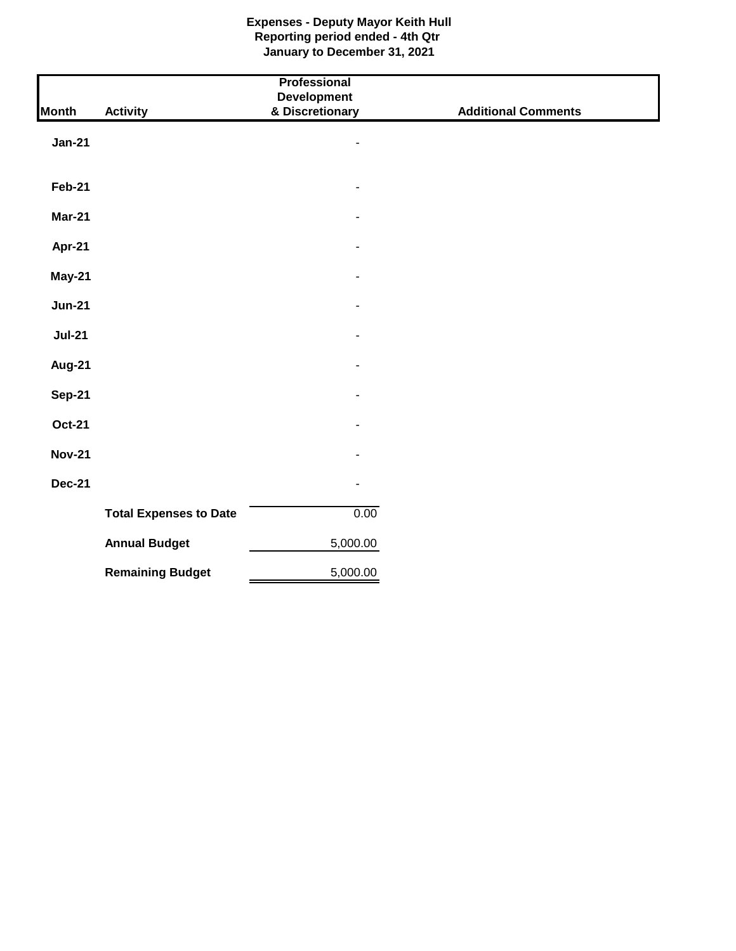### **Expenses - Deputy Mayor Keith Hull Reporting period ended - 4th Qtr January to December 31, 2021**

|               |                               | Professional                          |                            |
|---------------|-------------------------------|---------------------------------------|----------------------------|
| <b>Month</b>  | <b>Activity</b>               | <b>Development</b><br>& Discretionary | <b>Additional Comments</b> |
|               |                               |                                       |                            |
| <b>Jan-21</b> |                               | $\overline{\phantom{0}}$              |                            |
|               |                               |                                       |                            |
|               |                               |                                       |                            |
| <b>Feb-21</b> |                               | $\overline{\phantom{a}}$              |                            |
| <b>Mar-21</b> |                               |                                       |                            |
|               |                               |                                       |                            |
| <b>Apr-21</b> |                               |                                       |                            |
| <b>May-21</b> |                               | $\overline{\phantom{m}}$              |                            |
|               |                               |                                       |                            |
| <b>Jun-21</b> |                               | ٠                                     |                            |
| <b>Jul-21</b> |                               | $\blacksquare$                        |                            |
|               |                               |                                       |                            |
| <b>Aug-21</b> |                               |                                       |                            |
|               |                               |                                       |                            |
| <b>Sep-21</b> |                               | $\overline{\phantom{m}}$              |                            |
| <b>Oct-21</b> |                               | $\blacksquare$                        |                            |
|               |                               |                                       |                            |
| <b>Nov-21</b> |                               |                                       |                            |
| <b>Dec-21</b> |                               | $\blacksquare$                        |                            |
|               |                               |                                       |                            |
|               | <b>Total Expenses to Date</b> | 0.00                                  |                            |
|               | <b>Annual Budget</b>          | 5,000.00                              |                            |
|               |                               |                                       |                            |
|               | <b>Remaining Budget</b>       | 5,000.00                              |                            |
|               |                               |                                       |                            |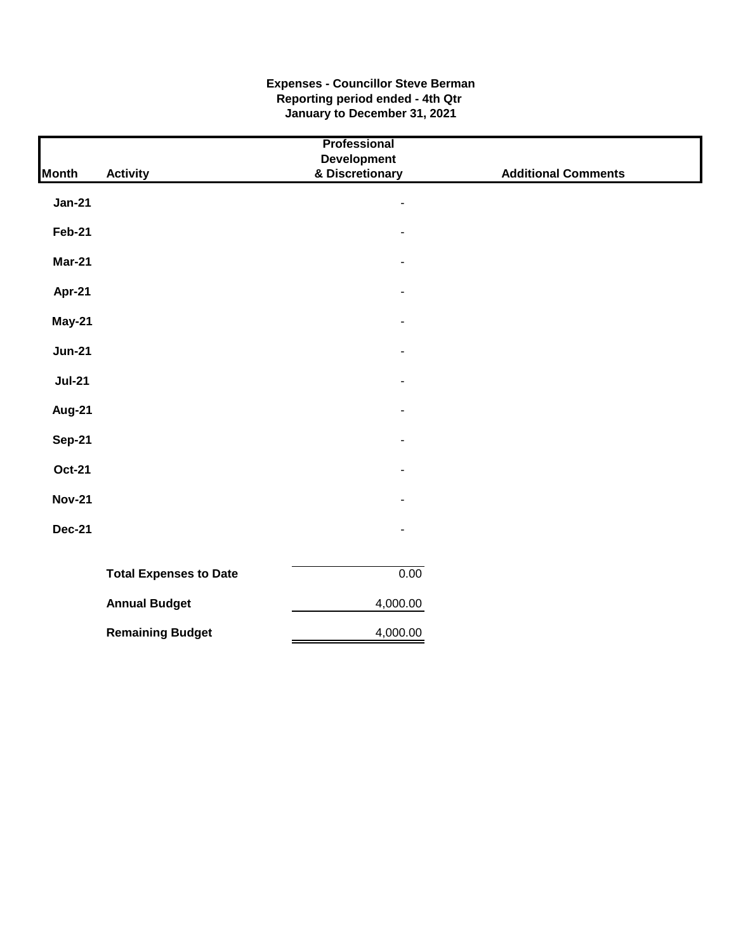### **Expenses - Councillor Steve Berman Reporting period ended - 4th Qtr January to December 31, 2021**

|               |                               | Professional                   |                            |
|---------------|-------------------------------|--------------------------------|----------------------------|
| <b>Month</b>  | <b>Activity</b>               | Development<br>& Discretionary | <b>Additional Comments</b> |
| <b>Jan-21</b> |                               | $\overline{\phantom{a}}$       |                            |
| <b>Feb-21</b> |                               |                                |                            |
| Mar-21        |                               |                                |                            |
| <b>Apr-21</b> |                               | $\blacksquare$                 |                            |
| <b>May-21</b> |                               | $\blacksquare$                 |                            |
| <b>Jun-21</b> |                               |                                |                            |
| <b>Jul-21</b> |                               | $\overline{\phantom{a}}$       |                            |
| <b>Aug-21</b> |                               | ٠                              |                            |
| <b>Sep-21</b> |                               |                                |                            |
| <b>Oct-21</b> |                               |                                |                            |
| <b>Nov-21</b> |                               |                                |                            |
| <b>Dec-21</b> |                               | L.                             |                            |
|               |                               |                                |                            |
|               | <b>Total Expenses to Date</b> | 0.00                           |                            |
|               | <b>Annual Budget</b>          | 4,000.00                       |                            |
|               | <b>Remaining Budget</b>       | 4,000.00                       |                            |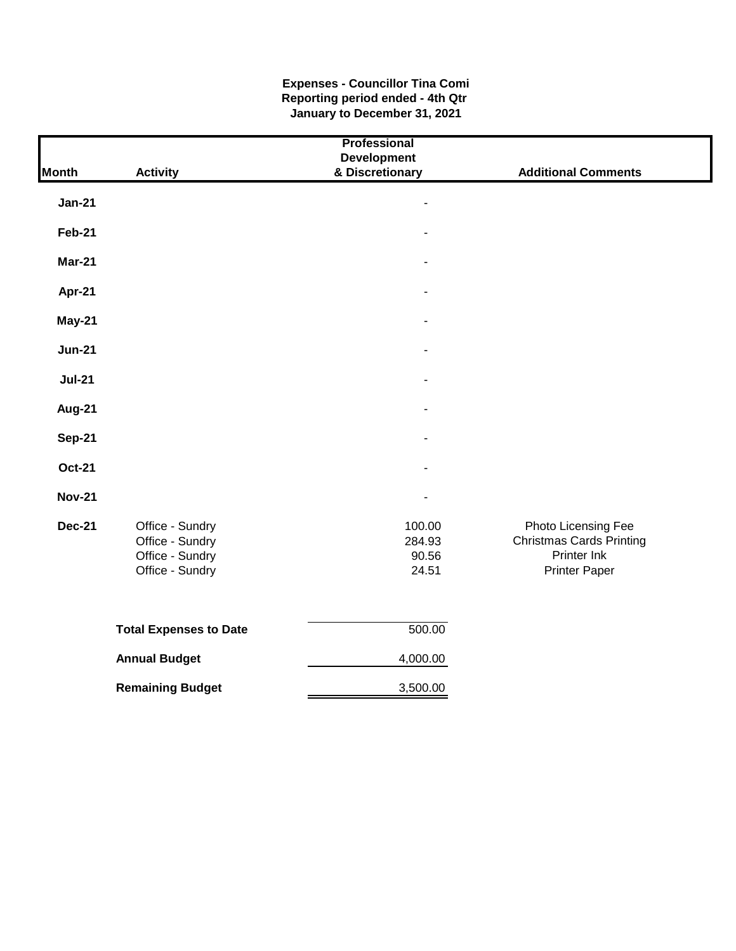#### **Expenses - Councillor Tina Comi Reporting period ended - 4th Qtr January to December 31, 2021**

|               |                               | Professional    |                                 |  |  |  |
|---------------|-------------------------------|-----------------|---------------------------------|--|--|--|
|               | <b>Development</b>            |                 |                                 |  |  |  |
| <b>Month</b>  | <b>Activity</b>               | & Discretionary | <b>Additional Comments</b>      |  |  |  |
|               |                               |                 |                                 |  |  |  |
| <b>Jan-21</b> |                               |                 |                                 |  |  |  |
| <b>Feb-21</b> |                               |                 |                                 |  |  |  |
|               |                               |                 |                                 |  |  |  |
| <b>Mar-21</b> |                               |                 |                                 |  |  |  |
| Apr-21        |                               | $\overline{a}$  |                                 |  |  |  |
| May-21        |                               |                 |                                 |  |  |  |
|               |                               |                 |                                 |  |  |  |
| <b>Jun-21</b> |                               |                 |                                 |  |  |  |
| <b>Jul-21</b> |                               |                 |                                 |  |  |  |
|               |                               |                 |                                 |  |  |  |
| Aug-21        |                               |                 |                                 |  |  |  |
| <b>Sep-21</b> |                               | $\blacksquare$  |                                 |  |  |  |
|               |                               |                 |                                 |  |  |  |
| <b>Oct-21</b> |                               | $\blacksquare$  |                                 |  |  |  |
| <b>Nov-21</b> |                               | $\overline{a}$  |                                 |  |  |  |
| <b>Dec-21</b> | Office - Sundry               | 100.00          | Photo Licensing Fee             |  |  |  |
|               | Office - Sundry               | 284.93          | <b>Christmas Cards Printing</b> |  |  |  |
|               | Office - Sundry               | 90.56           | Printer Ink                     |  |  |  |
|               | Office - Sundry               | 24.51           | <b>Printer Paper</b>            |  |  |  |
|               |                               |                 |                                 |  |  |  |
|               | <b>Total Expenses to Date</b> | 500.00          |                                 |  |  |  |
|               | <b>Annual Budget</b>          | 4,000.00        |                                 |  |  |  |
|               | <b>Remaining Budget</b>       | 3,500.00        |                                 |  |  |  |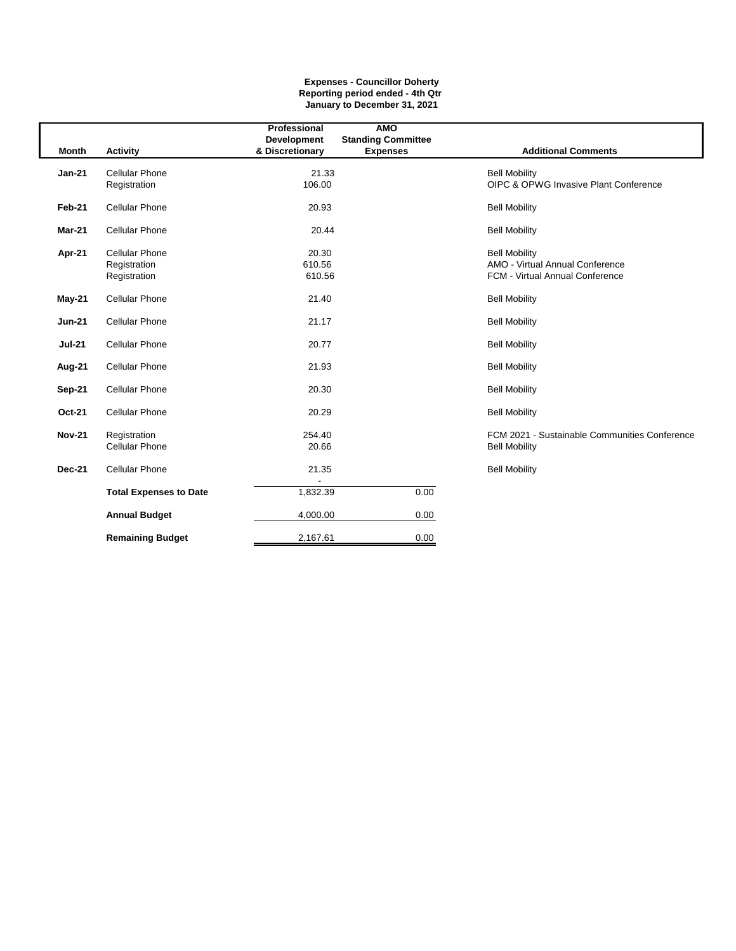#### **Expenses - Councillor Doherty Reporting period ended - 4th Qtr January to December 31, 2021**

|               |                               | Professional                          | <b>AMO</b>                                   |                                               |
|---------------|-------------------------------|---------------------------------------|----------------------------------------------|-----------------------------------------------|
| <b>Month</b>  | <b>Activity</b>               | <b>Development</b><br>& Discretionary | <b>Standing Committee</b><br><b>Expenses</b> | <b>Additional Comments</b>                    |
|               |                               |                                       |                                              |                                               |
| $Jan-21$      | <b>Cellular Phone</b>         | 21.33                                 |                                              | <b>Bell Mobility</b>                          |
|               | Registration                  | 106.00                                |                                              | OIPC & OPWG Invasive Plant Conference         |
| Feb-21        | <b>Cellular Phone</b>         | 20.93                                 |                                              | <b>Bell Mobility</b>                          |
| <b>Mar-21</b> | <b>Cellular Phone</b>         | 20.44                                 |                                              | <b>Bell Mobility</b>                          |
| Apr-21        | <b>Cellular Phone</b>         | 20.30                                 |                                              | <b>Bell Mobility</b>                          |
|               | Registration                  | 610.56                                |                                              | AMO - Virtual Annual Conference               |
|               | Registration                  | 610.56                                |                                              | FCM - Virtual Annual Conference               |
| May-21        | <b>Cellular Phone</b>         | 21.40                                 |                                              | <b>Bell Mobility</b>                          |
| <b>Jun-21</b> | <b>Cellular Phone</b>         | 21.17                                 |                                              | <b>Bell Mobility</b>                          |
| <b>Jul-21</b> | <b>Cellular Phone</b>         | 20.77                                 |                                              | <b>Bell Mobility</b>                          |
| Aug-21        | <b>Cellular Phone</b>         | 21.93                                 |                                              | <b>Bell Mobility</b>                          |
| Sep-21        | <b>Cellular Phone</b>         | 20.30                                 |                                              | <b>Bell Mobility</b>                          |
| Oct-21        | <b>Cellular Phone</b>         | 20.29                                 |                                              | <b>Bell Mobility</b>                          |
| <b>Nov-21</b> | Registration                  | 254.40                                |                                              | FCM 2021 - Sustainable Communities Conference |
|               | <b>Cellular Phone</b>         | 20.66                                 |                                              | <b>Bell Mobility</b>                          |
| <b>Dec-21</b> | <b>Cellular Phone</b>         | 21.35                                 |                                              | <b>Bell Mobility</b>                          |
|               | <b>Total Expenses to Date</b> | 1,832.39                              | 0.00                                         |                                               |
|               | <b>Annual Budget</b>          | 4,000.00                              | 0.00                                         |                                               |
|               | <b>Remaining Budget</b>       | 2,167.61                              | 0.00                                         |                                               |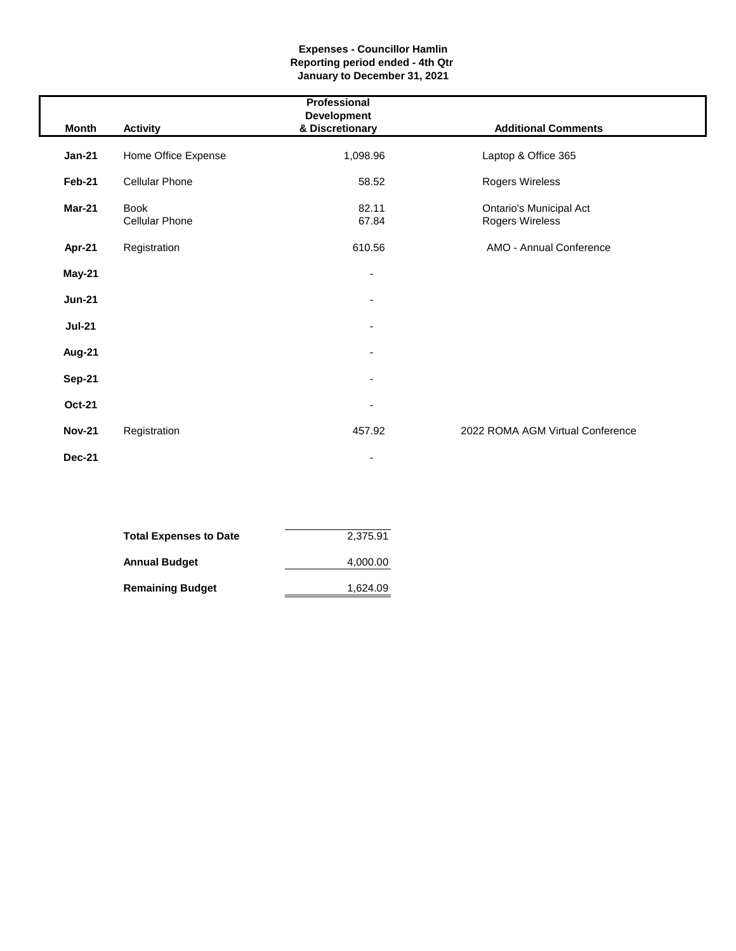#### **Expenses - Councillor Hamlin Reporting period ended - 4th Qtr January to December 31, 2021**

|               |                                      | Professional                          |                                                   |
|---------------|--------------------------------------|---------------------------------------|---------------------------------------------------|
| Month         | <b>Activity</b>                      | <b>Development</b><br>& Discretionary | <b>Additional Comments</b>                        |
| $Jan-21$      | Home Office Expense                  | 1,098.96                              | Laptop & Office 365                               |
| Feb-21        | <b>Cellular Phone</b>                | 58.52                                 | Rogers Wireless                                   |
| Mar-21        | <b>Book</b><br><b>Cellular Phone</b> | 82.11<br>67.84                        | <b>Ontario's Municipal Act</b><br>Rogers Wireless |
| Apr-21        | Registration                         | 610.56                                | AMO - Annual Conference                           |
| May-21        |                                      |                                       |                                                   |
| <b>Jun-21</b> |                                      |                                       |                                                   |
| <b>Jul-21</b> |                                      | ٠                                     |                                                   |
| <b>Aug-21</b> |                                      |                                       |                                                   |
| <b>Sep-21</b> |                                      |                                       |                                                   |
| <b>Oct-21</b> |                                      |                                       |                                                   |
| <b>Nov-21</b> | Registration                         | 457.92                                | 2022 ROMA AGM Virtual Conference                  |
| <b>Dec-21</b> |                                      | ٠                                     |                                                   |

| Total Expenses to Date  | 2,375.91 |
|-------------------------|----------|
| Annual Budget           | 4,000.00 |
| <b>Remaining Budget</b> | 1,624.09 |

I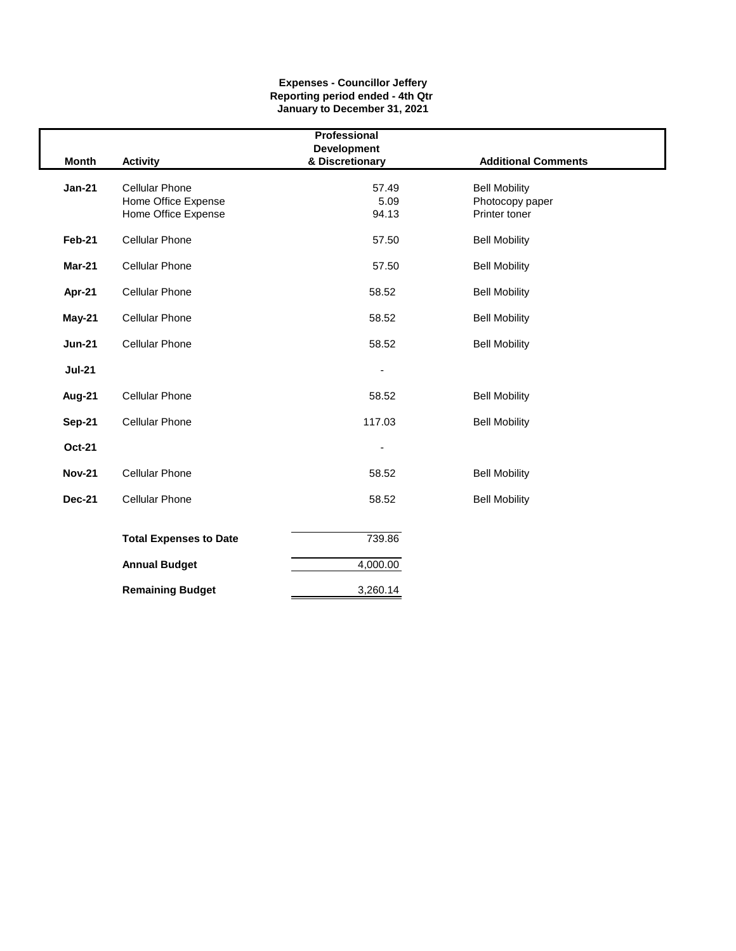#### **Expenses - Councillor Jeffery Reporting period ended - 4th Qtr January to December 31, 2021**

| Professional  |                               |                                       |                            |  |  |
|---------------|-------------------------------|---------------------------------------|----------------------------|--|--|
| <b>Month</b>  | <b>Activity</b>               | <b>Development</b><br>& Discretionary | <b>Additional Comments</b> |  |  |
| $Jan-21$      | <b>Cellular Phone</b>         | 57.49                                 | <b>Bell Mobility</b>       |  |  |
|               | Home Office Expense           | 5.09                                  | Photocopy paper            |  |  |
|               | Home Office Expense           | 94.13                                 | Printer toner              |  |  |
|               |                               |                                       |                            |  |  |
| Feb-21        | <b>Cellular Phone</b>         | 57.50                                 | <b>Bell Mobility</b>       |  |  |
|               |                               |                                       |                            |  |  |
| Mar-21        | <b>Cellular Phone</b>         | 57.50                                 | <b>Bell Mobility</b>       |  |  |
| Apr-21        | <b>Cellular Phone</b>         | 58.52                                 | <b>Bell Mobility</b>       |  |  |
|               |                               |                                       |                            |  |  |
| May-21        | <b>Cellular Phone</b>         | 58.52                                 | <b>Bell Mobility</b>       |  |  |
|               |                               |                                       |                            |  |  |
| <b>Jun-21</b> | <b>Cellular Phone</b>         | 58.52                                 | <b>Bell Mobility</b>       |  |  |
| <b>Jul-21</b> |                               |                                       |                            |  |  |
|               |                               |                                       |                            |  |  |
| Aug-21        | <b>Cellular Phone</b>         | 58.52                                 | <b>Bell Mobility</b>       |  |  |
|               |                               |                                       |                            |  |  |
| <b>Sep-21</b> | <b>Cellular Phone</b>         | 117.03                                | <b>Bell Mobility</b>       |  |  |
| <b>Oct-21</b> |                               |                                       |                            |  |  |
|               |                               |                                       |                            |  |  |
| <b>Nov-21</b> | <b>Cellular Phone</b>         | 58.52                                 | <b>Bell Mobility</b>       |  |  |
|               |                               |                                       |                            |  |  |
| <b>Dec-21</b> | <b>Cellular Phone</b>         | 58.52                                 | <b>Bell Mobility</b>       |  |  |
|               |                               |                                       |                            |  |  |
|               | <b>Total Expenses to Date</b> | 739.86                                |                            |  |  |
|               |                               |                                       |                            |  |  |
|               | <b>Annual Budget</b>          | 4,000.00                              |                            |  |  |
|               |                               |                                       |                            |  |  |
|               | <b>Remaining Budget</b>       | 3,260.14                              |                            |  |  |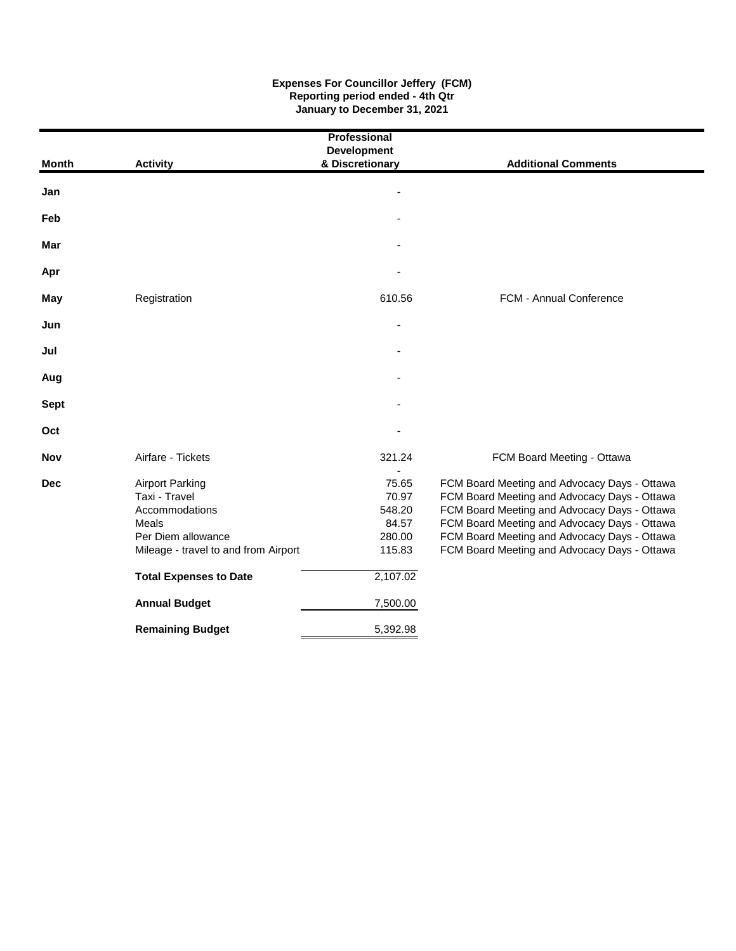#### **Expenses For Councillor Jeffery (FCM) Reporting period ended - 4th Qtr January to December 31, 2021**

| Professional |                                                                                                                                  |                                                       |                                                                                                                                                                                                                                                                                              |  |  |  |  |
|--------------|----------------------------------------------------------------------------------------------------------------------------------|-------------------------------------------------------|----------------------------------------------------------------------------------------------------------------------------------------------------------------------------------------------------------------------------------------------------------------------------------------------|--|--|--|--|
| Month        | <b>Activity</b>                                                                                                                  | <b>Development</b><br>& Discretionary                 | <b>Additional Comments</b>                                                                                                                                                                                                                                                                   |  |  |  |  |
|              |                                                                                                                                  |                                                       |                                                                                                                                                                                                                                                                                              |  |  |  |  |
| Jan          |                                                                                                                                  |                                                       |                                                                                                                                                                                                                                                                                              |  |  |  |  |
| Feb          |                                                                                                                                  |                                                       |                                                                                                                                                                                                                                                                                              |  |  |  |  |
| Mar          |                                                                                                                                  |                                                       |                                                                                                                                                                                                                                                                                              |  |  |  |  |
| Apr          |                                                                                                                                  |                                                       |                                                                                                                                                                                                                                                                                              |  |  |  |  |
| May          | Registration                                                                                                                     | 610.56                                                | FCM - Annual Conference                                                                                                                                                                                                                                                                      |  |  |  |  |
| Jun          |                                                                                                                                  |                                                       |                                                                                                                                                                                                                                                                                              |  |  |  |  |
| Jul          |                                                                                                                                  |                                                       |                                                                                                                                                                                                                                                                                              |  |  |  |  |
| Aug          |                                                                                                                                  |                                                       |                                                                                                                                                                                                                                                                                              |  |  |  |  |
| <b>Sept</b>  |                                                                                                                                  |                                                       |                                                                                                                                                                                                                                                                                              |  |  |  |  |
| Oct          |                                                                                                                                  |                                                       |                                                                                                                                                                                                                                                                                              |  |  |  |  |
| <b>Nov</b>   | Airfare - Tickets                                                                                                                | 321.24                                                | FCM Board Meeting - Ottawa                                                                                                                                                                                                                                                                   |  |  |  |  |
| Dec          | <b>Airport Parking</b><br>Taxi - Travel<br>Accommodations<br>Meals<br>Per Diem allowance<br>Mileage - travel to and from Airport | 75.65<br>70.97<br>548.20<br>84.57<br>280.00<br>115.83 | FCM Board Meeting and Advocacy Days - Ottawa<br>FCM Board Meeting and Advocacy Days - Ottawa<br>FCM Board Meeting and Advocacy Days - Ottawa<br>FCM Board Meeting and Advocacy Days - Ottawa<br>FCM Board Meeting and Advocacy Days - Ottawa<br>FCM Board Meeting and Advocacy Days - Ottawa |  |  |  |  |
|              | <b>Total Expenses to Date</b>                                                                                                    | 2,107.02                                              |                                                                                                                                                                                                                                                                                              |  |  |  |  |
|              | <b>Annual Budget</b>                                                                                                             | 7,500.00                                              |                                                                                                                                                                                                                                                                                              |  |  |  |  |
|              | <b>Remaining Budget</b>                                                                                                          | 5,392.98                                              |                                                                                                                                                                                                                                                                                              |  |  |  |  |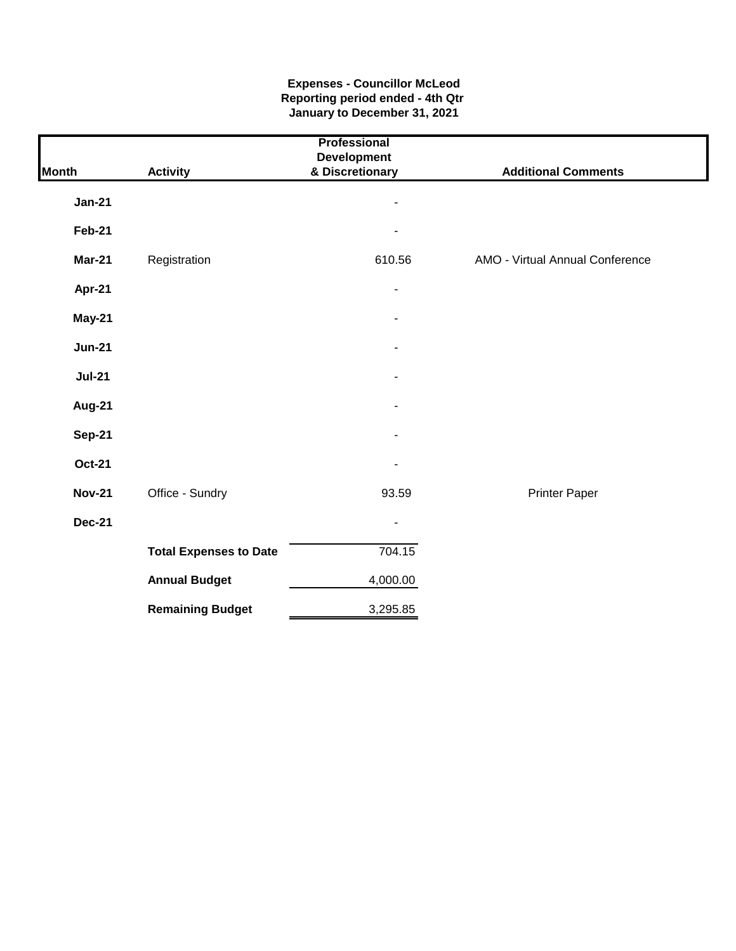#### **Expenses - Councillor McLeod Reporting period ended - 4th Qtr January to December 31, 2021**

| Professional  |                               |                                       |                                 |  |  |  |
|---------------|-------------------------------|---------------------------------------|---------------------------------|--|--|--|
| <b>Month</b>  | <b>Activity</b>               | <b>Development</b><br>& Discretionary | <b>Additional Comments</b>      |  |  |  |
| <b>Jan-21</b> |                               | $\overline{a}$                        |                                 |  |  |  |
| <b>Feb-21</b> |                               |                                       |                                 |  |  |  |
| <b>Mar-21</b> | Registration                  | 610.56                                | AMO - Virtual Annual Conference |  |  |  |
| Apr-21        |                               | $\overline{\phantom{0}}$              |                                 |  |  |  |
| May-21        |                               |                                       |                                 |  |  |  |
| <b>Jun-21</b> |                               |                                       |                                 |  |  |  |
| <b>Jul-21</b> |                               |                                       |                                 |  |  |  |
| Aug-21        |                               |                                       |                                 |  |  |  |
| <b>Sep-21</b> |                               |                                       |                                 |  |  |  |
| <b>Oct-21</b> |                               |                                       |                                 |  |  |  |
| <b>Nov-21</b> | Office - Sundry               | 93.59                                 | <b>Printer Paper</b>            |  |  |  |
| <b>Dec-21</b> |                               | $\blacksquare$                        |                                 |  |  |  |
|               | <b>Total Expenses to Date</b> | 704.15                                |                                 |  |  |  |
|               | <b>Annual Budget</b>          | 4,000.00                              |                                 |  |  |  |
|               | <b>Remaining Budget</b>       | 3,295.85                              |                                 |  |  |  |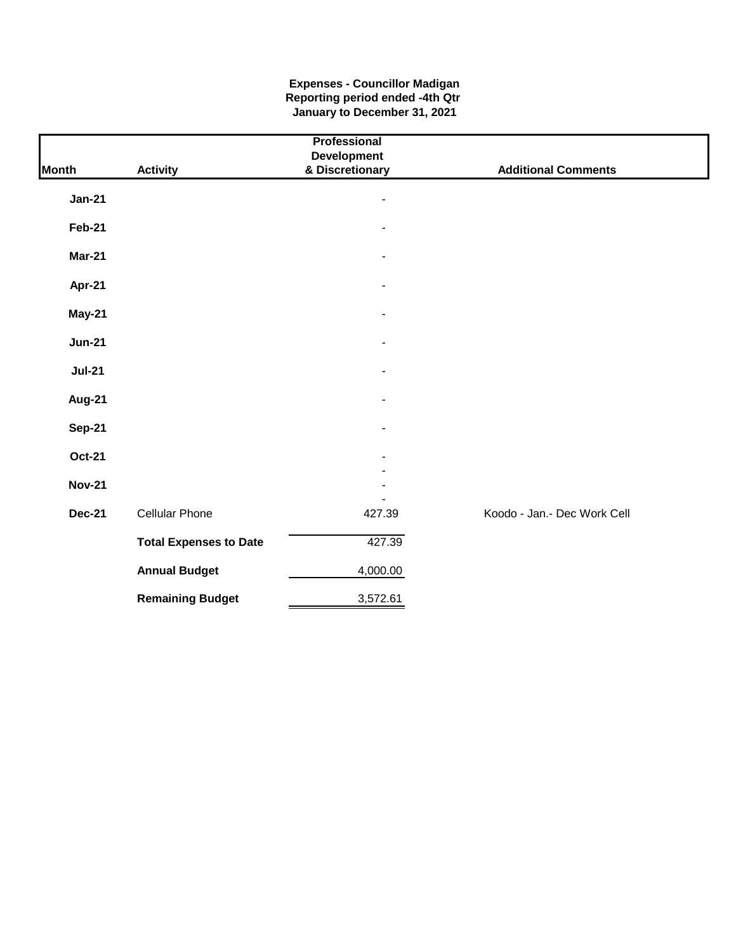#### **Expenses - Councillor Madigan Reporting period ended -4th Qtr January to December 31, 2021**

|               |                               | Professional             |                             |
|---------------|-------------------------------|--------------------------|-----------------------------|
|               |                               | <b>Development</b>       |                             |
| <b>Month</b>  | <b>Activity</b>               | & Discretionary          | <b>Additional Comments</b>  |
| <b>Jan-21</b> |                               | -                        |                             |
| <b>Feb-21</b> |                               |                          |                             |
| <b>Mar-21</b> |                               |                          |                             |
| Apr-21        |                               | $\overline{a}$           |                             |
| <b>May-21</b> |                               |                          |                             |
| <b>Jun-21</b> |                               |                          |                             |
| <b>Jul-21</b> |                               |                          |                             |
| <b>Aug-21</b> |                               | $\blacksquare$           |                             |
| <b>Sep-21</b> |                               | $\overline{\phantom{0}}$ |                             |
| <b>Oct-21</b> |                               |                          |                             |
| <b>Nov-21</b> |                               |                          |                             |
| <b>Dec-21</b> | <b>Cellular Phone</b>         | 427.39                   | Koodo - Jan.- Dec Work Cell |
|               | <b>Total Expenses to Date</b> | 427.39                   |                             |
|               | <b>Annual Budget</b>          | 4,000.00                 |                             |
|               | <b>Remaining Budget</b>       | 3,572.61                 |                             |